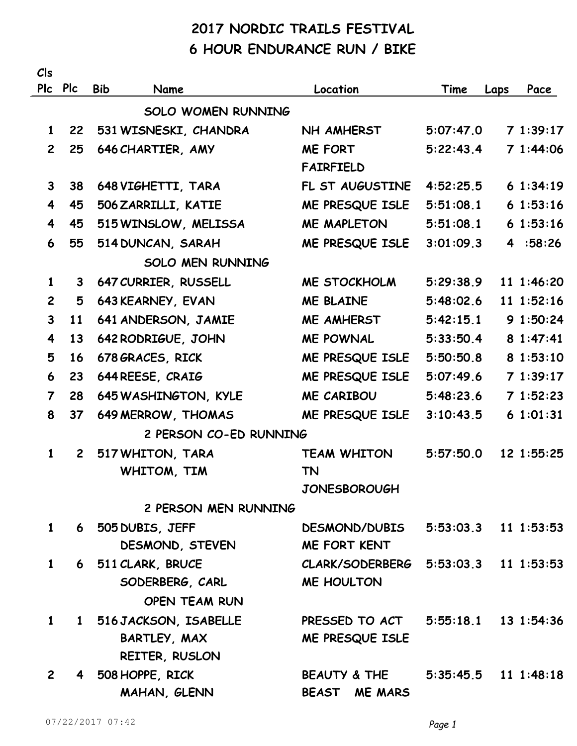## **2017 NORDIC TRAILS FESTIVAL 6 HOUR ENDURANCE RUN / BIKE**

| Cls                     |                        |                           |                                      |           |                        |  |  |
|-------------------------|------------------------|---------------------------|--------------------------------------|-----------|------------------------|--|--|
|                         | Plc Plc                | <b>Bib</b><br>Name        | Location                             | Time      | Pace<br>Laps           |  |  |
|                         |                        | <b>SOLO WOMEN RUNNING</b> |                                      |           |                        |  |  |
| $\mathbf{1}$            | 22                     | 531 WISNESKI, CHANDRA     | NH AMHERST                           | 5:07:47.0 | 71:39:17               |  |  |
| $\overline{2}$          | 25                     | 646 CHARTIER, AMY         | <b>ME FORT</b><br><b>FAIRFIELD</b>   | 5:22:43.4 | 71:44:06               |  |  |
| $\mathbf{3}$            | 38                     | 648 VIGHETTI, TARA        | FL ST AUGUSTINE                      | 4:52:25.5 | 61:34:19               |  |  |
| 4                       | 45                     | 506 ZARRILLI, KATIE       | ME PRESQUE ISLE                      | 5:51:08.1 | 61:53:16               |  |  |
| $\overline{\mathbf{4}}$ | 45                     | 515 WINSLOW, MELISSA      | <b>ME MAPLETON</b>                   | 5:51:08.1 | 61:53:16               |  |  |
| 6                       | 55                     | 514 DUNCAN, SARAH         | ME PRESQUE ISLE                      | 3:01:09.3 | 4:58:26                |  |  |
|                         |                        | <b>SOLO MEN RUNNING</b>   |                                      |           |                        |  |  |
| $\mathbf{1}$            | 3                      | 647 CURRIER, RUSSELL      | ME STOCKHOLM                         | 5:29:38.9 | 11 1:46:20             |  |  |
| $\overline{2}$          | 5                      | 643 KEARNEY, EVAN         | <b>ME BLAINE</b>                     | 5:48:02.6 | 11 1:52:16             |  |  |
| $\mathbf{3}$            | 11                     | 641 ANDERSON, JAMIE       | <b>ME AMHERST</b>                    | 5:42:15.1 | 91:50:24               |  |  |
| 4                       | 13                     | 642 RODRIGUE, JOHN        | <b>ME POWNAL</b>                     | 5:33:50.4 | 8 1:47:41              |  |  |
| 5                       | 16                     | 678 GRACES, RICK          | ME PRESQUE ISLE                      | 5:50:50.8 | 8 1:53:10              |  |  |
| 6                       | 23                     | 644 REESE, CRAIG          | ME PRESQUE ISLE                      | 5:07:49.6 | 71:39:17               |  |  |
| $\overline{7}$          | 28                     | 645 WASHINGTON, KYLE      | <b>ME CARIBOU</b>                    | 5:48:23.6 | 71:52:23               |  |  |
| 8                       | 37                     | 649 MERROW, THOMAS        | ME PRESQUE ISLE                      | 3:10:43.5 | 61:01:31               |  |  |
|                         | 2 PERSON CO-ED RUNNING |                           |                                      |           |                        |  |  |
| $\mathbf{1}$            | $\mathbf{2}$           | 517 WHITON, TARA          | <b>TEAM WHITON</b>                   | 5:57:50.0 | 12 1:55:25             |  |  |
|                         |                        | WHITOM, TIM               | <b>TN</b>                            |           |                        |  |  |
|                         |                        |                           | <b>JONESBOROUGH</b>                  |           |                        |  |  |
|                         |                        | 2 PERSON MEN RUNNING      |                                      |           |                        |  |  |
| $\mathbf{1}$            |                        | 6 505 DUBIS, JEFF         | DESMOND/DUBIS 5:53:03.3 11 1:53:53   |           |                        |  |  |
|                         |                        | DESMOND, STEVEN           | <b>ME FORT KENT</b>                  |           |                        |  |  |
| $\mathbf{1}$            |                        | 6 511 CLARK, BRUCE        | CLARK/SODERBERG 5:53:03.3 11 1:53:53 |           |                        |  |  |
|                         |                        | SODERBERG, CARL           | <b>ME HOULTON</b>                    |           |                        |  |  |
|                         |                        | <b>OPEN TEAM RUN</b>      |                                      |           |                        |  |  |
| $\mathbf{1}$            |                        | 1 516 JACKSON, ISABELLE   | PRESSED TO ACT 5:55:18.1 13 1:54:36  |           |                        |  |  |
|                         |                        | BARTLEY, MAX              | ME PRESQUE ISLE                      |           |                        |  |  |
|                         |                        | REITER, RUSLON            |                                      |           |                        |  |  |
| $2^{\circ}$             |                        | 4 508 HOPPE, RICK         | BEAUTY & THE                         |           | $5:35:45.5$ 11 1:48:18 |  |  |
|                         |                        | MAHAN, GLENN              | BEAST ME MARS                        |           |                        |  |  |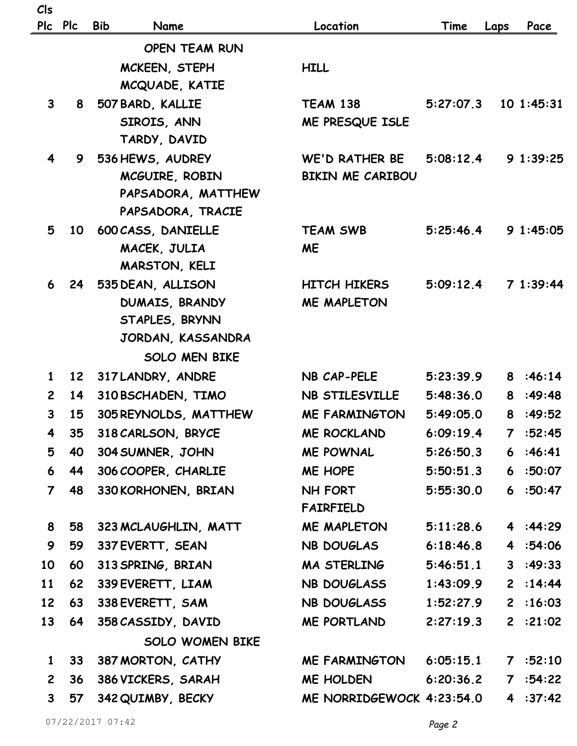| Cls            |                 |                                  |                           |           |              |           |
|----------------|-----------------|----------------------------------|---------------------------|-----------|--------------|-----------|
|                | Plc Plc         | <b>Bib</b><br>Name               | Location                  | Time      | Laps         | Pace      |
|                |                 | <b>OPEN TEAM RUN</b>             |                           |           |              |           |
|                |                 | MCKEEN, STEPH                    | <b>HILL</b>               |           |              |           |
|                |                 | MCQUADE, KATIE                   |                           |           |              |           |
| $\mathbf{3}$   | 8               | 507 BARD, KALLIE                 | <b>TEAM 138</b>           | 5:27:07.3 |              | 101:45:31 |
|                |                 | SIROIS, ANN                      | ME PRESQUE ISLE           |           |              |           |
|                |                 | TARDY, DAVID                     |                           |           |              |           |
| 4              | 9               | 536 HEWS, AUDREY                 | <b>WE'D RATHER BE</b>     | 5:08:12.4 |              | 91:39:25  |
|                |                 | MCGUIRE, ROBIN                   | <b>BIKIN ME CARIBOU</b>   |           |              |           |
|                |                 | PAPSADORA, MATTHEW               |                           |           |              |           |
|                |                 | PAPSADORA, TRACIE                |                           |           |              |           |
| 5              | 10              | 600 CASS, DANIELLE               | <b>TEAM SWB</b>           | 5:25:46.4 |              | 91:45:05  |
|                |                 | MACEK, JULIA                     | <b>ME</b>                 |           |              |           |
|                |                 | MARSTON, KELI                    |                           |           |              |           |
| 6              | 24              | 535 DEAN, ALLISON                | <b>HITCH HIKERS</b>       | 5:09:12.4 |              | 71:39:44  |
|                |                 | DUMAIS, BRANDY<br>STAPLES, BRYNN | <b>ME MAPLETON</b>        |           |              |           |
|                |                 | JORDAN, KASSANDRA                |                           |           |              |           |
|                |                 | <b>SOLO MEN BIKE</b>             |                           |           |              |           |
| $\mathbf{1}$   | 12              | 317 LANDRY, ANDRE                | NB CAP-PELE               | 5:23:39.9 |              | 8:46:14   |
| $\overline{2}$ | 14              | 310 BSCHADEN, TIMO               | NB STILESVILLE            | 5:48:36.0 |              | 8:49:48   |
| $\mathbf{3}$   | 15              | 305 REYNOLDS, MATTHEW            | <b>ME FARMINGTON</b>      | 5:49:05.0 | 8            | :49:52    |
| 4              | 35              | 318 CARLSON, BRYCE               | <b>ME ROCKLAND</b>        | 6:09:19.4 | $\mathbf{7}$ | :52:45    |
| 5              | 40              | 304 SUMNER, JOHN                 | <b>ME POWNAL</b>          | 5:26:50.3 |              | 6:46:41   |
| 6              | 44              | 306 COOPER, CHARLIE              | ME HOPE                   | 5:50:51.3 |              | 6:50:07   |
| $\overline{7}$ | 48              | 330 KORHONEN, BRIAN              | NH FORT                   | 5:55:30.0 |              | 6:50:47   |
|                |                 |                                  | <b>FAIRFIELD</b>          |           |              |           |
| 8              | 58              | 323 MCLAUGHLIN, MATT             | ME MAPLETON               | 5:11:28.6 |              | 4 :44:29  |
| 9              | 59              | 337 EVERTT, SEAN                 | NB DOUGLAS                | 6:18:46.8 |              | 4 :54:06  |
| 10             | 60              | 313 SPRING, BRIAN                | MA STERLING               | 5:46:51.1 |              | 3:49:33   |
| 11             | 62              | 339 EVERETT, LIAM                | NB DOUGLASS               | 1:43:09.9 |              | 2 : 14:44 |
| 12             | 63              | 338 EVERETT, SAM                 | NB DOUGLASS               | 1:52:27.9 |              | 2:16:03   |
| 13             | 64              | 358 CASSIDY, DAVID               | ME PORTLAND               | 2:27:19.3 |              | 2 : 21:02 |
|                |                 | <b>SOLO WOMEN BIKE</b>           |                           |           |              |           |
| $\mathbf{1}$   | 33 <sup>7</sup> | 387 MORTON, CATHY                | <b>ME FARMINGTON</b>      | 6:05:15.1 |              | 7 : 52:10 |
| $2^{\circ}$    | 36              | 386 VICKERS, SARAH               | ME HOLDEN                 | 6:20:36.2 |              | 7 :54:22  |
| $\mathbf{3}$   | 57              | 342 QUIMBY, BECKY                | ME NORRIDGEWOCK 4:23:54.0 |           |              | 4 : 37:42 |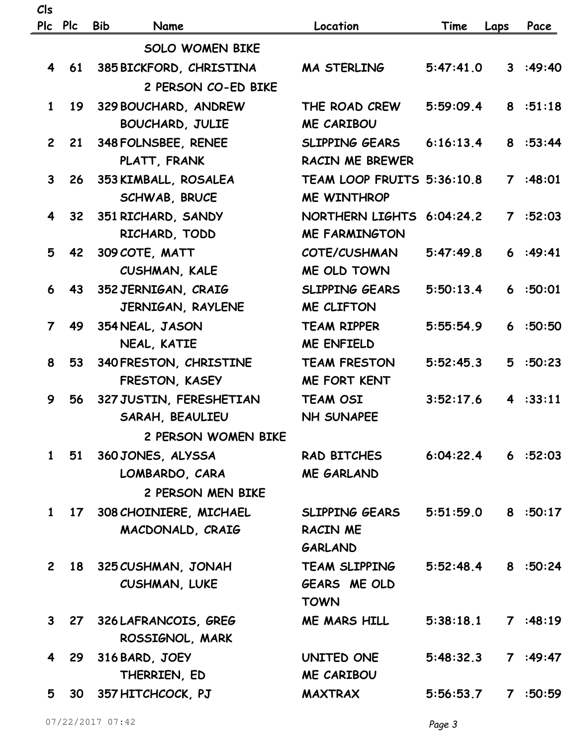| Cls                     |         |                                            |                                    |                        |      |           |
|-------------------------|---------|--------------------------------------------|------------------------------------|------------------------|------|-----------|
|                         | Plc Plc | <b>Bib</b><br>Name                         | Location                           | Time                   | Laps | Pace      |
|                         |         | <b>SOLO WOMEN BIKE</b>                     |                                    |                        |      |           |
| $\overline{\mathbf{4}}$ |         | 61 385 BICKFORD, CHRISTINA                 | MA STERLING                        | 5:47:41.0              |      | 3:49:40   |
|                         |         | 2 PERSON CO-ED BIKE                        |                                    |                        |      |           |
| $\mathbf{1}$            | 19      | 329 BOUCHARD, ANDREW                       | THE ROAD CREW                      | 5:59:09.4              |      | 8:51:18   |
|                         |         | <b>BOUCHARD, JULIE</b>                     | <b>ME CARIBOU</b>                  |                        |      |           |
| $2^{\circ}$             |         | 21 348 FOLNSBEE, RENEE                     | SLIPPING GEARS                     | 6:16:13.4              |      | 8:53:44   |
|                         |         | PLATT, FRANK                               | <b>RACIN ME BREWER</b>             |                        |      |           |
| $\mathbf{3}$            |         | 26 353 KIMBALL, ROSALEA                    | TEAM LOOP FRUITS 5:36:10.8         |                        |      | 7:48:01   |
|                         |         | SCHWAB, BRUCE                              | <b>ME WINTHROP</b>                 |                        |      |           |
| 4                       | 32      | 351 RICHARD, SANDY                         | NORTHERN LIGHTS                    | 6:04:24.2              |      | 7 : 52:03 |
|                         |         | RICHARD, TODD                              | <b>ME FARMINGTON</b>               |                        |      |           |
| 5                       | 42      | 309 COTE, MATT                             | COTE/CUSHMAN                       | 5:47:49.8              |      | 6:49:41   |
|                         |         | CUSHMAN, KALE                              | ME OLD TOWN                        |                        |      |           |
| 6                       | 43      | 352 JERNIGAN, CRAIG                        | <b>SLIPPING GEARS</b>              | 5:50:13.4              |      | 6:50:01   |
|                         |         | JERNIGAN, RAYLENE                          | ME CLIFTON                         |                        |      |           |
| $\overline{7}$          | 49      | 354 NEAL, JASON                            | <b>TEAM RIPPER</b>                 | 5:55:54.9              |      | 6:50:50   |
|                         |         | NEAL, KATIE                                | <b>ME ENFIELD</b>                  |                        |      |           |
| 8                       | 53      | 340 FRESTON, CHRISTINE                     | <b>TEAM FRESTON</b>                | 5:52:45.3              |      | 5:50:23   |
|                         |         | FRESTON, KASEY                             | <b>ME FORT KENT</b>                |                        |      |           |
| 9                       | 56      | 327 JUSTIN, FERESHETIAN                    | <b>TEAM OSI</b>                    | 3:52:17.6              |      | 4:33:11   |
|                         |         | SARAH, BEAULIEU                            | <b>NH SUNAPEE</b>                  |                        |      |           |
|                         |         | 2 PERSON WOMEN BIKE                        |                                    |                        |      |           |
|                         |         | 1 51 360 JONES, ALYSSA                     | RAD BITCHES                        | $6:04:22.4$ 6 $:52:03$ |      |           |
|                         |         | LOMBARDO, CARA                             | <b>ME GARLAND</b>                  |                        |      |           |
|                         |         | 2 PERSON MEN BIKE                          |                                    |                        |      |           |
|                         |         | 1 17 308 CHOINIERE, MICHAEL                | SLIPPING GEARS                     | 5:51:59.0              |      | 8:50:17   |
|                         |         | MACDONALD, CRAIG                           | <b>RACIN ME</b>                    |                        |      |           |
|                         |         |                                            | <b>GARLAND</b>                     |                        |      |           |
|                         |         | 2 18 325 CUSHMAN, JONAH                    | TEAM SLIPPING                      | 5:52:48.4              |      | 8 :50:24  |
|                         |         | <b>CUSHMAN, LUKE</b>                       | <b>GEARS ME OLD</b><br><b>TOWN</b> |                        |      |           |
| $\mathbf{3}$            |         |                                            | ME MARS HILL                       | 5:38:18.1              |      | 7:48:19   |
|                         |         | 27 326 LAFRANCOIS, GREG<br>ROSSIGNOL, MARK |                                    |                        |      |           |
| 4                       |         | 29 316 BARD, JOEY                          | UNITED ONE                         | 5:48:32.3              |      | 7:49:47   |
|                         |         | THERRIEN, ED                               | <b>ME CARIBOU</b>                  |                        |      |           |
|                         | 5       | 30 357 HITCHCOCK, PJ                       | <b>MAXTRAX</b>                     | 5:56:53.7              |      | 7:50:59   |
|                         |         |                                            |                                    |                        |      |           |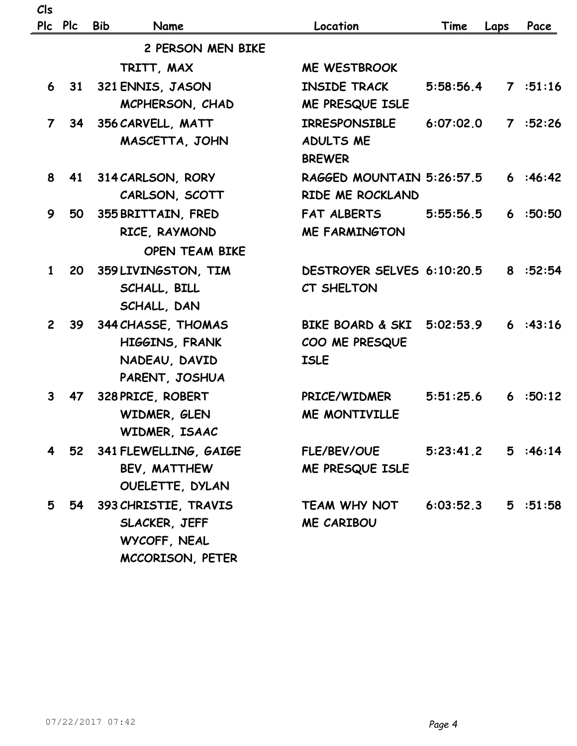| Cls            |                   |                       |                                   |           |      |         |
|----------------|-------------------|-----------------------|-----------------------------------|-----------|------|---------|
|                | Plc Plc           | <b>Bib</b><br>Name    | Location                          | Time      | Laps | Pace    |
|                | 2 PERSON MEN BIKE |                       |                                   |           |      |         |
|                |                   | TRITT, MAX            | <b>ME WESTBROOK</b>               |           |      |         |
| 6              | 31                | 321 ENNIS, JASON      | <b>INSIDE TRACK</b>               | 5:58:56.4 |      | 7:51:16 |
|                |                   | MCPHERSON, CHAD       | ME PRESQUE ISLE                   |           |      |         |
| 7 <sup>7</sup> |                   | 34 356 CARVELL, MATT  | <b>IRRESPONSIBLE</b>              | 6:07:02.0 |      | 7:52:26 |
|                |                   | MASCETTA, JOHN        | <b>ADULTS ME</b><br><b>BREWER</b> |           |      |         |
| 8              | 41                | 314 CARLSON, RORY     | RAGGED MOUNTAIN 5:26:57.5         |           |      | 6:46:42 |
|                |                   | CARLSON, SCOTT        | RIDE ME ROCKLAND                  |           |      |         |
| 9              | <b>50</b>         | 355 BRITTAIN, FRED    | <b>FAT ALBERTS</b>                | 5:55:56.5 |      | 6:50:50 |
|                |                   | RICE, RAYMOND         | <b>ME FARMINGTON</b>              |           |      |         |
|                |                   | <b>OPEN TEAM BIKE</b> |                                   |           |      |         |
| $\mathbf 1$    | <b>20</b>         | 359 LIVINGSTON, TIM   | DESTROYER SELVES 6:10:20.5        |           |      | 8:52:54 |
|                |                   | SCHALL, BILL          | CT SHELTON                        |           |      |         |
|                |                   | SCHALL, DAN           |                                   |           |      |         |
| $2^{\circ}$    | <b>39</b>         | 344 CHASSE, THOMAS    | <b>BIKE BOARD &amp; SKI</b>       | 5:02:53.9 |      | 6:43:16 |
|                |                   | HIGGINS, FRANK        | COO ME PRESQUE                    |           |      |         |
|                |                   | NADEAU, DAVID         | <b>ISLE</b>                       |           |      |         |
|                |                   | PARENT, JOSHUA        |                                   |           |      |         |
| $\mathbf{3}$   | 47                | 328 PRICE, ROBERT     | PRICE/WIDMER                      | 5:51:25.6 |      | 6:50:12 |
|                |                   | WIDMER, GLEN          | <b>ME MONTIVILLE</b>              |           |      |         |
|                |                   | WIDMER, ISAAC         |                                   |           |      |         |
|                | 4 52              | 341 FLEWELLING, GAIGE | <b>FLE/BEV/OUE</b>                | 5:23:41.2 |      | 5:46:14 |
|                |                   | BEV, MATTHEW          | ME PRESQUE ISLE                   |           |      |         |
|                |                   | OUELETTE, DYLAN       |                                   |           |      |         |
| 5              | 54                | 393 CHRISTIE, TRAVIS  | TEAM WHY NOT                      | 6:03:52.3 |      | 5:51:58 |
|                |                   | SLACKER, JEFF         | ME CARIBOU                        |           |      |         |
|                |                   | WYCOFF, NEAL          |                                   |           |      |         |
|                |                   | MCCORISON, PETER      |                                   |           |      |         |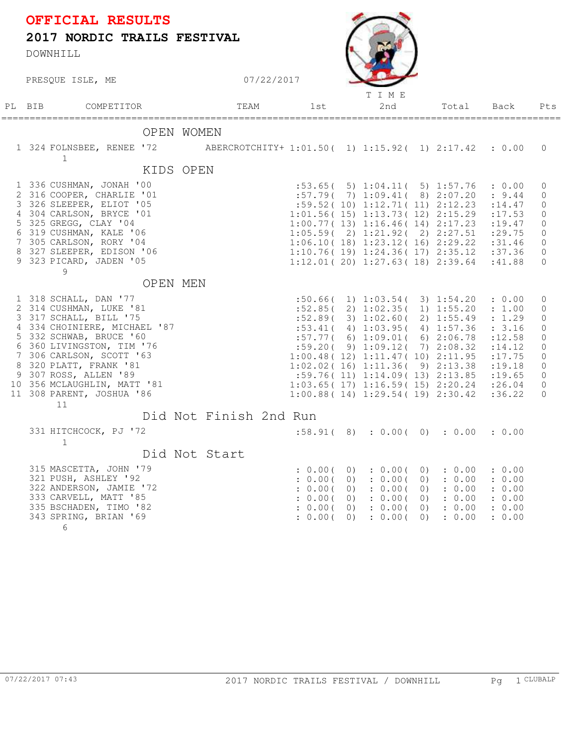## PRESOUE ISLE, ME 07/22/2017 **2017 NORDIC TRAILS FESTIVAL** DOWNHILL **OFFICIAL RESULTS** PL BIB COMPETITOR 1st 2nd Total Pts TEAM T I M E =================================================================================================== Total Back Pts OPEN WOMEN 1 324 FOLNSBEE, RENEE '72 ABERCROTCHITY+ 1:01.50( 1) 1:15.92( 1) 2:17.42 : 0.00 0 1 KIDS OPEN 1 336 CUSHMAN, JONAH '00 :53.65( 5) 1:04.11( 5) 1:57.76 : 0.00 0 2 316 COOPER, CHARLIE '01 :57.79( 7) 1:09.41( 8) 2:07.20 : 9.44 0 3 326 SLEEPER, ELIOT '05 :59.52( 10) 1:12.71( 11) 2:12.23 :14.47 0 4 304 CARLSON, BRYCE '01 1:01.56( 15) 1:13.73( 12) 2:15.29 :17.53 0 5 325 GREGG, CLAY '04 1:00.77( 13) 1:16.46( 14) 2:17.23 :19.47 0 6 319 CUSHMAN, KALE '06 1:05.59( 2) 1:21.92( 2) 2:27.51 :29.75 0 7 305 CARLSON, RORY '04 1:06.10( 18) 1:23.12( 16) 2:29.22 :31.46 0 8 327 SLEEPER, EDISON '06 1:10.76( 19) 1:24.36( 17) 2:35.12 :37.36 0 9 323 PICARD, JADEN '05 1:12.01( 20) 1:27.63( 18) 2:39.64 :41.88 0 9 OPEN MEN 1 318 SCHALL, DAN '77 :50.66( 1) 1:03.54( 3) 1:54.20 : 0.00 0 2 314 CUSHMAN, LUKE '81 :52.85( 2) 1:02.35( 1) 1:55.20 : 1.00 0 3 317 SCHALL, BILL '75 :52.89( 3) 1:02.60( 2) 1:55.49 : 1.29 0 4 334 CHOINIERE, MICHAEL '87 :53.41 (4) 1:03.95 (4) 1:57.36 : 3.16 0 5 332 SCHWAB, BRUCE '60 :57.77( 6) 1:09.01( 6) 2:06.78 :12.58 0 6 360 LIVINGSTON, TIM '76 :59.20( 9) 1:09.12( 7) 2:08.32 :14.12 0 7 306 CARLSON, SCOTT '63 1:00.48( 12) 1:11.47( 10) 2:11.95 :17.75 0 8 320 PLATT, FRANK '81 1:02.02( 16) 1:11.36( 9) 2:13.38 :19.18 0 9 307 ROSS, ALLEN '89 :59.76( 11) 1:14.09( 13) 2:13.85 :19.65 0 10 356 MCLAUGHLIN, MATT '81 1:03.65( 17) 1:16.59( 15) 2:20.24 :26.04 0 11 308 PARENT, JOSHUA '86 1:00.88( 14) 1:29.54( 19) 2:30.42 :36.22 0 11 Did Not Finish 2nd Run 331 HITCHCOCK, PJ '72 :58.91( 8) : 0.00( 0) : 0.00 : 0.00 1 Did Not Start 315 MASCETTA, JOHN '79 : 0.00 (0) : 0.00 (0) : 0.00 : 0.00 321 PUSH, ASHLEY '92  $\qquad \qquad ; \quad 0.00(0) \quad ; \quad 0.00(0) \quad ; \quad 0.00$  : 0.00  $\frac{3200(0)}{200(0)}$  : 0.00( 0) : 0.00 : 0.00 333 CARVELL, MATT '85 (2000) : 0.00 (2000) : 0.00 (2000) : 0.00 : 0.00 335 BSCHADEN, TIMO '82 : 0.00( 0) : 0.00( 0) : 0.00 : 0.00 343 SPRING, BRIAN '69 : 0.00( 0) : 0.00( 0) : 0.00 : 0.00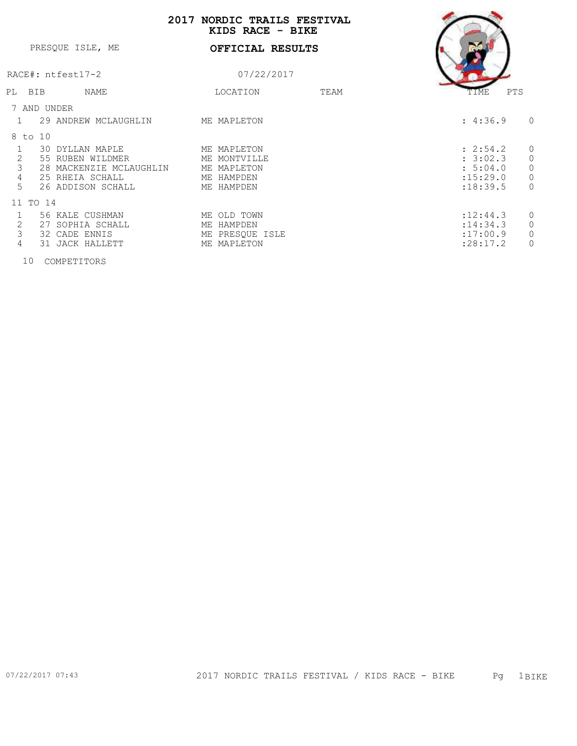## **2017 NORDIC TRAILS FESTIVAL**

|                |                         | 2 J 1 7<br>NORDIC IRAINS FUDIIVAN<br>KIDS RACE - BIKE |      |                            |
|----------------|-------------------------|-------------------------------------------------------|------|----------------------------|
|                | PRESOUE ISLE, ME        | OFFICIAL RESULTS                                      |      |                            |
|                | RACE#: ntfest17-2       | 07/22/2017                                            |      |                            |
| PL BIB         | NAME                    | LOCATION                                              | TEAM | PTS<br>TIME                |
|                | 7 AND UNDER             |                                                       |      |                            |
|                | 29 ANDREW MCLAUGHLIN    | ME MAPLETON                                           |      | : 4:36.9<br>$\circ$        |
| 8 to 10        |                         |                                                       |      |                            |
|                | 30 DYLLAN MAPLE         | ME MAPLETON                                           |      | $\mathbb O$<br>: 2:54.2    |
| $\sqrt{2}$     | 55 RUBEN WILDMER        | ME MONTVILLE                                          |      | $\mathbb O$<br>: 3:02.3    |
| $\mathfrak{Z}$ | 28 MACKENZIE MCLAUGHLIN | ME MAPLETON                                           |      | $\mathbb O$<br>: 5:04.0    |
| $\overline{4}$ | 25 RHEIA SCHALL         | ME HAMPDEN                                            |      | $\circledcirc$<br>:15:29.0 |
| 5              | 26 ADDISON SCHALL       | ME HAMPDEN                                            |      | $\circ$<br>: 18: 39.5      |
|                | 11 TO 14                |                                                       |      |                            |
|                | 56 KALE CUSHMAN         | ME OLD TOWN                                           |      | $\circ$<br>: 12: 44.3      |
| 2              | 27 SOPHIA SCHALL        | ME HAMPDEN                                            |      | $\mathsf{O}$<br>: 14:34.3  |
| 3              | 32 CADE ENNIS           | ME PRESQUE ISLE                                       |      | $\mathsf{O}$<br>:17:00.9   |
| $\overline{4}$ | JACK HALLETT<br>31      | ME MAPLETON                                           |      | $\circ$<br>: 28:17.2       |
|                |                         |                                                       |      |                            |

10 COMPETITORS

 $\overline{\phantom{a}}$